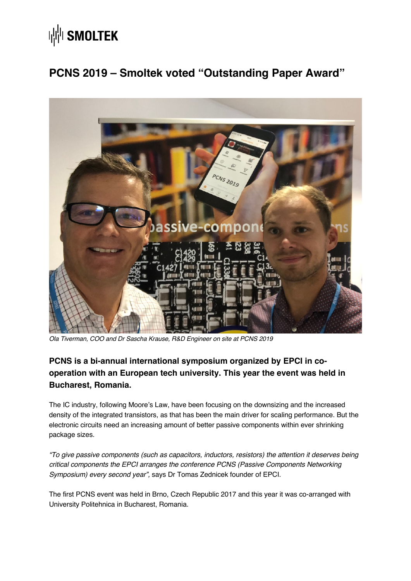# **WINDISMOLTEK**

### **PCNS 2019 – Smoltek voted "Outstanding Paper Award"**



*Ola Tiverman, COO and Dr Sascha Krause, R&D Engineer on site at PCNS 2019*

### **PCNS is a bi-annual international symposium organized by EPCI in cooperation with an European tech university. This year the event was held in Bucharest, Romania.**

The IC industry, following Moore's Law, have been focusing on the downsizing and the increased density of the integrated transistors, as that has been the main driver for scaling performance. But the electronic circuits need an increasing amount of better passive components within ever shrinking package sizes.

*"To give passive components (such as capacitors, inductors, resistors) the attention it deserves being critical components the EPCI arranges the conference PCNS (Passive Components Networking Symposium) every second year",* says Dr Tomas Zednicek founder of EPCI.

The first PCNS event was held in Brno, Czech Republic 2017 and this year it was co-arranged with University Politehnica in Bucharest, Romania.